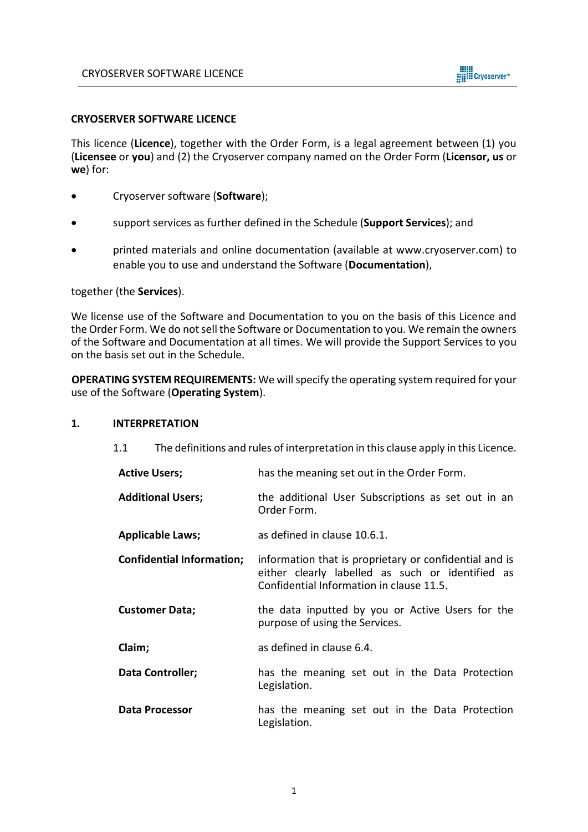

### **CRYOSERVER SOFTWARE LICENCE**

This licence (**Licence**), together with the Order Form, is a legal agreement between (1) you (**Licensee** or **you**) and (2) the Cryoserver company named on the Order Form (**Licensor, us** or **we**) for:

- Cryoserver software (**Software**);
- support services as further defined in the Schedule (**Support Services**); and
- printed materials and online documentation (available at [www.cryoserver.com\)](http://www.cryoserver.com/) to enable you to use and understand the Software (**Documentation**),

#### together (the **Services**).

We license use of the Software and Documentation to you on the basis of this Licence and the Order Form. We do not sell the Software or Documentation to you. We remain the owners of the Software and Documentation at all times. We will provide the Support Services to you on the basis set out in the Schedule.

**OPERATING SYSTEM REQUIREMENTS:** We will specify the operating system required for your use of the Software (**Operating System**).

### **1. INTERPRETATION**

1.1 The definitions and rules of interpretation in this clause apply in this Licence.

| <b>Active Users;</b>             | has the meaning set out in the Order Form.                                                                                                             |  |  |
|----------------------------------|--------------------------------------------------------------------------------------------------------------------------------------------------------|--|--|
| <b>Additional Users;</b>         | the additional User Subscriptions as set out in an<br>Order Form.                                                                                      |  |  |
| <b>Applicable Laws;</b>          | as defined in clause 10.6.1.                                                                                                                           |  |  |
| <b>Confidential Information;</b> | information that is proprietary or confidential and is<br>either clearly labelled as such or identified as<br>Confidential Information in clause 11.5. |  |  |
| <b>Customer Data;</b>            | the data inputted by you or Active Users for the<br>purpose of using the Services.                                                                     |  |  |
| Claim;                           | as defined in clause 6.4.                                                                                                                              |  |  |
| Data Controller;                 | has the meaning set out in the Data Protection<br>Legislation.                                                                                         |  |  |
| Data Processor                   | has the meaning set out in the Data Protection<br>Legislation.                                                                                         |  |  |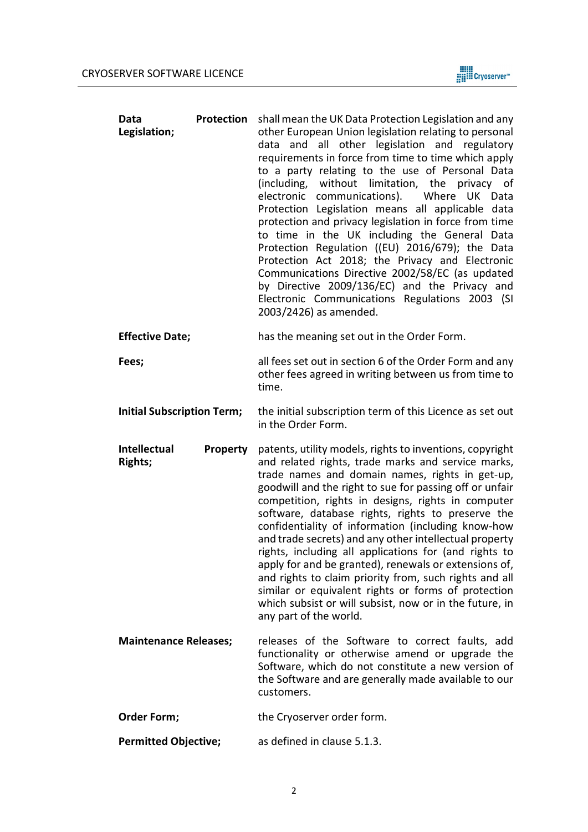

| Data<br>Legislation;   | Protection | shall mean the UK Data Protection Legislation and any<br>other European Union legislation relating to personal<br>data and all other legislation and regulatory<br>requirements in force from time to time which apply<br>to a party relating to the use of Personal Data<br>(including, without limitation, the privacy of<br>electronic communications). Where UK Data<br>Protection Legislation means all applicable data<br>protection and privacy legislation in force from time<br>to time in the UK including the General Data<br>Protection Regulation ((EU) 2016/679); the Data<br>Protection Act 2018; the Privacy and Electronic<br>Communications Directive 2002/58/EC (as updated<br>by Directive 2009/136/EC) and the Privacy and<br>Electronic Communications Regulations 2003 (SI<br>2003/2426) as amended. |  |  |
|------------------------|------------|-----------------------------------------------------------------------------------------------------------------------------------------------------------------------------------------------------------------------------------------------------------------------------------------------------------------------------------------------------------------------------------------------------------------------------------------------------------------------------------------------------------------------------------------------------------------------------------------------------------------------------------------------------------------------------------------------------------------------------------------------------------------------------------------------------------------------------|--|--|
| <b>Effective Date;</b> |            | has the meaning set out in the Order Form.                                                                                                                                                                                                                                                                                                                                                                                                                                                                                                                                                                                                                                                                                                                                                                                  |  |  |

- **Fees;** all fees set out in section 6 of the Order Form and any other fees agreed in writing between us from time to time.
- **Initial Subscription Term;** the initial subscription term of this Licence as set out in the Order Form.
- **Intellectual Property Rights;** patents, utility models, rights to inventions, copyright and related rights, trade marks and service marks, trade names and domain names, rights in get-up, goodwill and the right to sue for passing off or unfair competition, rights in designs, rights in computer software, database rights, rights to preserve the confidentiality of information (including know-how and trade secrets) and any other intellectual property rights, including all applications for (and rights to apply for and be granted), renewals or extensions of, and rights to claim priority from, such rights and all similar or equivalent rights or forms of protection which subsist or will subsist, now or in the future, in any part of the world.
- **Maintenance Releases;** releases of the Software to correct faults, add functionality or otherwise amend or upgrade the Software, which do not constitute a new version of the Software and are generally made available to our customers.
- **Order Form;** the Cryoserver order form.
- **Permitted Objective;** as defined in clause 5.1.3.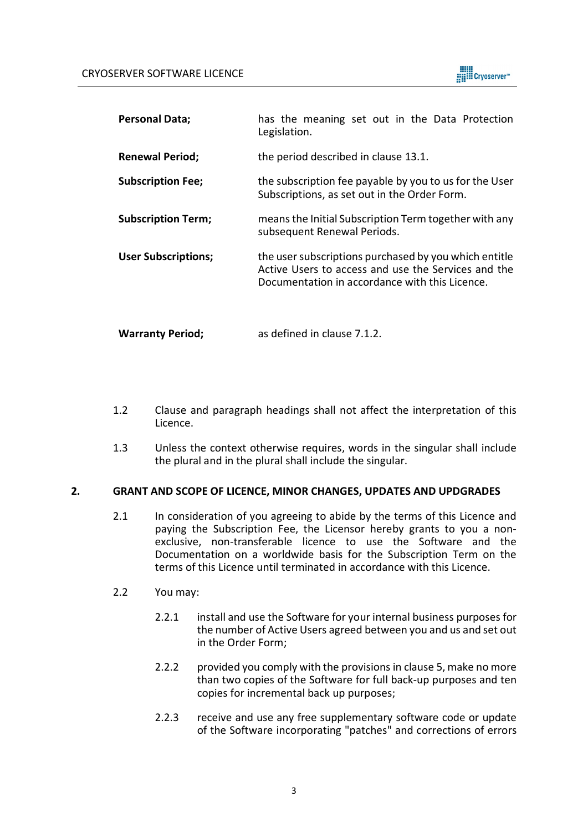

| <b>Personal Data;</b>      | has the meaning set out in the Data Protection<br>Legislation.                                                                                                 |  |
|----------------------------|----------------------------------------------------------------------------------------------------------------------------------------------------------------|--|
| <b>Renewal Period;</b>     | the period described in clause 13.1.                                                                                                                           |  |
| <b>Subscription Fee;</b>   | the subscription fee payable by you to us for the User<br>Subscriptions, as set out in the Order Form.                                                         |  |
| <b>Subscription Term;</b>  | means the Initial Subscription Term together with any<br>subsequent Renewal Periods.                                                                           |  |
| <b>User Subscriptions;</b> | the user subscriptions purchased by you which entitle<br>Active Users to access and use the Services and the<br>Documentation in accordance with this Licence. |  |

**Warranty Period;** as defined in clause 7.1.2.

- 1.2 Clause and paragraph headings shall not affect the interpretation of this Licence.
- 1.3 Unless the context otherwise requires, words in the singular shall include the plural and in the plural shall include the singular.

## **2. GRANT AND SCOPE OF LICENCE, MINOR CHANGES, UPDATES AND UPDGRADES**

- 2.1 In consideration of you agreeing to abide by the terms of this Licence and paying the Subscription Fee, the Licensor hereby grants to you a nonexclusive, non-transferable licence to use the Software and the Documentation on a worldwide basis for the Subscription Term on the terms of this Licence until terminated in accordance with this Licence.
- <span id="page-2-0"></span>2.2 You may:
	- 2.2.1 install and use the Software for your internal business purposes for the number of Active Users agreed between you and us and set out in the Order Form;
	- 2.2.2 provided you comply with the provisions in clause 5, make no more than two copies of the Software for full back-up purposes and ten copies for incremental back up purposes;
	- 2.2.3 receive and use any free supplementary software code or update of the Software incorporating "patches" and corrections of errors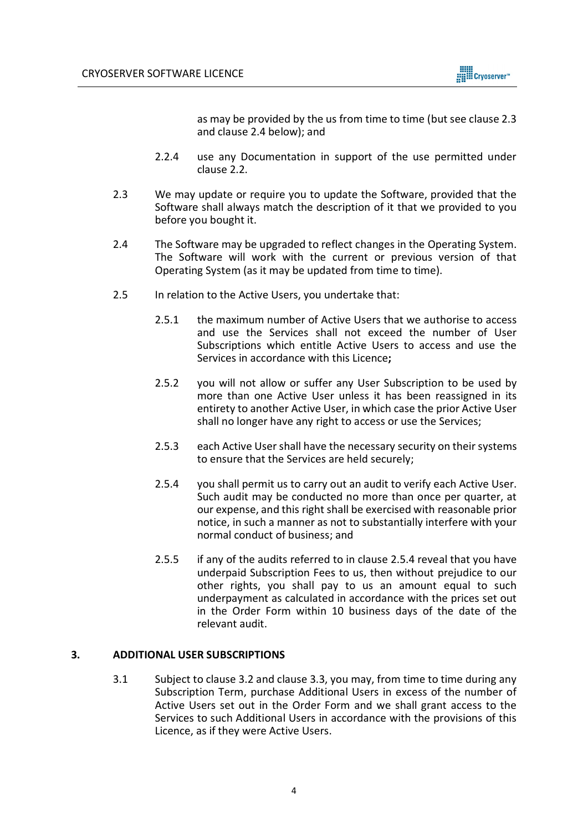

as may be provided by the us from time to time (but see clause [2.3](#page-3-0) and clause [2.4](#page-3-1) below); and

- 2.2.4 use any Documentation in support of the use permitted under clause [2.2.](#page-2-0)
- <span id="page-3-0"></span>2.3 We may update or require you to update the Software, provided that the Software shall always match the description of it that we provided to you before you bought it.
- <span id="page-3-1"></span>2.4 The Software may be upgraded to reflect changes in the Operating System. The Software will work with the current or previous version of that Operating System (as it may be updated from time to time).
- 2.5 In relation to the Active Users, you undertake that:
	- 2.5.1 the maximum number of Active Users that we authorise to access and use the Services shall not exceed the number of User Subscriptions which entitle Active Users to access and use the Services in accordance with this Licence**;**
	- 2.5.2 you will not allow or suffer any User Subscription to be used by more than one Active User unless it has been reassigned in its entirety to another Active User, in which case the prior Active User shall no longer have any right to access or use the Services;
	- 2.5.3 each Active User shall have the necessary security on their systems to ensure that the Services are held securely;
	- 2.5.4 you shall permit us to carry out an audit to verify each Active User. Such audit may be conducted no more than once per quarter, at our expense, and this right shall be exercised with reasonable prior notice, in such a manner as not to substantially interfere with your normal conduct of business; and
	- 2.5.5 if any of the audits referred to in clause 2.5.4 reveal that you have underpaid Subscription Fees to us, then without prejudice to our other rights, you shall pay to us an amount equal to such underpayment as calculated in accordance with the prices set out in the Order Form within 10 business days of the date of the relevant audit.

## **3. ADDITIONAL USER SUBSCRIPTIONS**

3.1 Subject to clause 3.2 and clause 3.3, you may, from time to time during any Subscription Term, purchase Additional Users in excess of the number of Active Users set out in the Order Form and we shall grant access to the Services to such Additional Users in accordance with the provisions of this Licence, as if they were Active Users.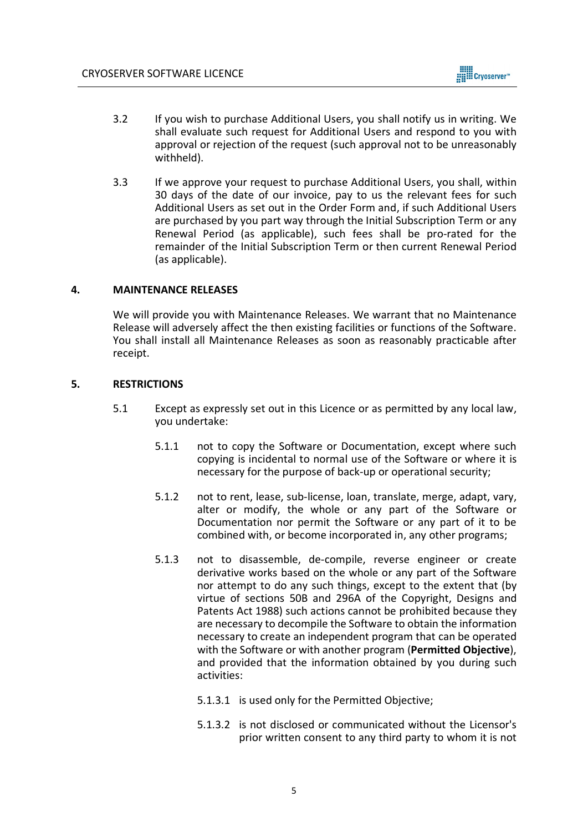

- 3.2 If you wish to purchase Additional Users, you shall notify us in writing. We shall evaluate such request for Additional Users and respond to you with approval or rejection of the request (such approval not to be unreasonably withheld).
- 3.3 If we approve your request to purchase Additional Users, you shall, within 30 days of the date of our invoice, pay to us the relevant fees for such Additional Users as set out in the Order Form and, if such Additional Users are purchased by you part way through the Initial Subscription Term or any Renewal Period (as applicable), such fees shall be pro-rated for the remainder of the Initial Subscription Term or then current Renewal Period (as applicable).

## **4. MAINTENANCE RELEASES**

We will provide you with Maintenance Releases. We warrant that no Maintenance Release will adversely affect the then existing facilities or functions of the Software. You shall install all Maintenance Releases as soon as reasonably practicable after receipt.

## **5. RESTRICTIONS**

- 5.1 Except as expressly set out in this Licence or as permitted by any local law, you undertake:
	- 5.1.1 not to copy the Software or Documentation, except where such copying is incidental to normal use of the Software or where it is necessary for the purpose of back-up or operational security;
	- 5.1.2 not to rent, lease, sub-license, loan, translate, merge, adapt, vary, alter or modify, the whole or any part of the Software or Documentation nor permit the Software or any part of it to be combined with, or become incorporated in, any other programs;
	- 5.1.3 not to disassemble, de-compile, reverse engineer or create derivative works based on the whole or any part of the Software nor attempt to do any such things, except to the extent that (by virtue of sections 50B and 296A of the Copyright, Designs and Patents Act 1988) such actions cannot be prohibited because they are necessary to decompile the Software to obtain the information necessary to create an independent program that can be operated with the Software or with another program (**Permitted Objective**), and provided that the information obtained by you during such activities:
		- 5.1.3.1 is used only for the Permitted Objective;
		- 5.1.3.2 is not disclosed or communicated without the Licensor's prior written consent to any third party to whom it is not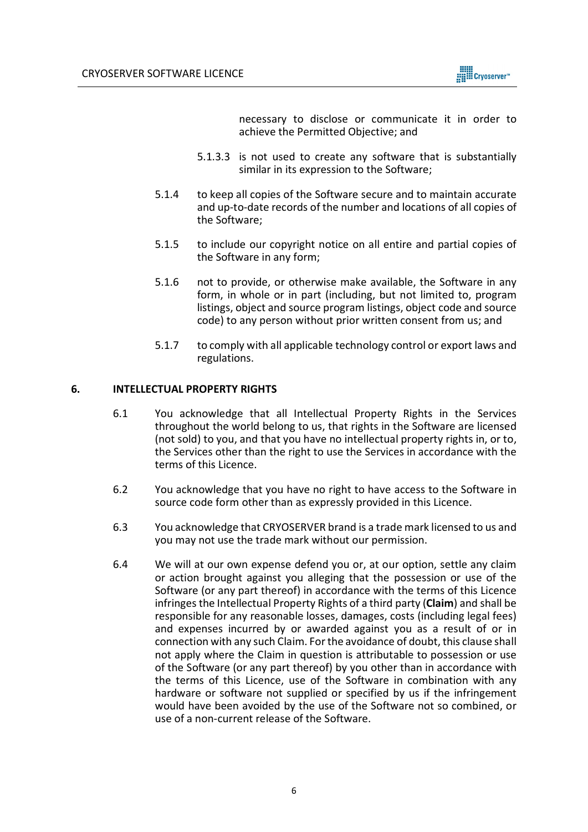

necessary to disclose or communicate it in order to achieve the Permitted Objective; and

- 5.1.3.3 is not used to create any software that is substantially similar in its expression to the Software;
- 5.1.4 to keep all copies of the Software secure and to maintain accurate and up-to-date records of the number and locations of all copies of the Software;
- 5.1.5 to include our copyright notice on all entire and partial copies of the Software in any form;
- 5.1.6 not to provide, or otherwise make available, the Software in any form, in whole or in part (including, but not limited to, program listings, object and source program listings, object code and source code) to any person without prior written consent from us; and
- 5.1.7 to comply with all applicable technology control or export laws and regulations.

## **6. INTELLECTUAL PROPERTY RIGHTS**

- 6.1 You acknowledge that all Intellectual Property Rights in the Services throughout the world belong to us, that rights in the Software are licensed (not sold) to you, and that you have no intellectual property rights in, or to, the Services other than the right to use the Services in accordance with the terms of this Licence.
- 6.2 You acknowledge that you have no right to have access to the Software in source code form other than as expressly provided in this Licence.
- 6.3 You acknowledge that CRYOSERVER brand is a trade mark licensed to us and you may not use the trade mark without our permission.
- 6.4 We will at our own expense defend you or, at our option, settle any claim or action brought against you alleging that the possession or use of the Software (or any part thereof) in accordance with the terms of this Licence infringes the Intellectual Property Rights of a third party (**Claim**) and shall be responsible for any reasonable losses, damages, costs (including legal fees) and expenses incurred by or awarded against you as a result of or in connection with any such Claim. For the avoidance of doubt, this clause shall not apply where the Claim in question is attributable to possession or use of the Software (or any part thereof) by you other than in accordance with the terms of this Licence, use of the Software in combination with any hardware or software not supplied or specified by us if the infringement would have been avoided by the use of the Software not so combined, or use of a non-current release of the Software.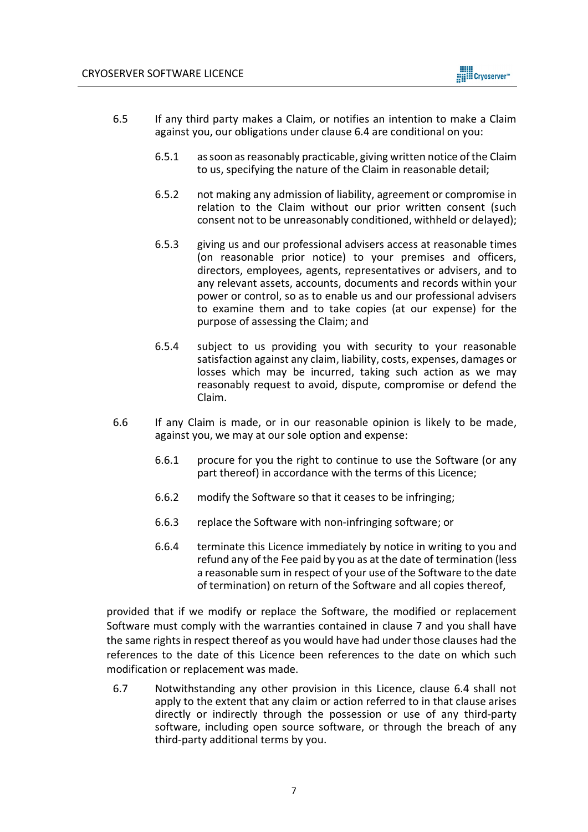

- 6.5 If any third party makes a Claim, or notifies an intention to make a Claim against you, our obligations under clause 6.4 are conditional on you:
	- 6.5.1 as soon as reasonably practicable, giving written notice of the Claim to us, specifying the nature of the Claim in reasonable detail;
	- 6.5.2 not making any admission of liability, agreement or compromise in relation to the Claim without our prior written consent (such consent not to be unreasonably conditioned, withheld or delayed);
	- 6.5.3 giving us and our professional advisers access at reasonable times (on reasonable prior notice) to your premises and officers, directors, employees, agents, representatives or advisers, and to any relevant assets, accounts, documents and records within your power or control, so as to enable us and our professional advisers to examine them and to take copies (at our expense) for the purpose of assessing the Claim; and
	- 6.5.4 subject to us providing you with security to your reasonable satisfaction against any claim, liability, costs, expenses, damages or losses which may be incurred, taking such action as we may reasonably request to avoid, dispute, compromise or defend the Claim.
- 6.6 If any Claim is made, or in our reasonable opinion is likely to be made, against you, we may at our sole option and expense:
	- 6.6.1 procure for you the right to continue to use the Software (or any part thereof) in accordance with the terms of this Licence;
	- 6.6.2 modify the Software so that it ceases to be infringing;
	- 6.6.3 replace the Software with non-infringing software; or
	- 6.6.4 terminate this Licence immediately by notice in writing to you and refund any of the Fee paid by you as at the date of termination (less a reasonable sum in respect of your use of the Software to the date of termination) on return of the Software and all copies thereof,

provided that if we modify or replace the Software, the modified or replacement Software must comply with the warranties contained in clause 7 and you shall have the same rights in respect thereof as you would have had under those clauses had the references to the date of this Licence been references to the date on which such modification or replacement was made.

6.7 Notwithstanding any other provision in this Licence, clause 6.4 shall not apply to the extent that any claim or action referred to in that clause arises directly or indirectly through the possession or use of any third-party software, including open source software, or through the breach of any third-party additional terms by you.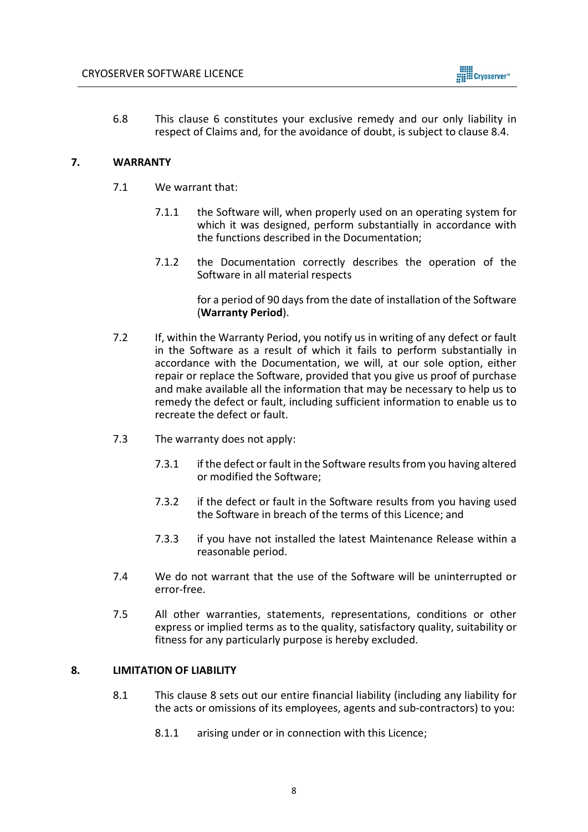

6.8 This clause 6 constitutes your exclusive remedy and our only liability in respect of Claims and, for the avoidance of doubt, is subject to clause 8.4.

## **7. WARRANTY**

- 7.1 We warrant that:
	- 7.1.1 the Software will, when properly used on an operating system for which it was designed, perform substantially in accordance with the functions described in the Documentation;
	- 7.1.2 the Documentation correctly describes the operation of the Software in all material respects

for a period of 90 days from the date of installation of the Software (**Warranty Period**).

- 7.2 If, within the Warranty Period, you notify us in writing of any defect or fault in the Software as a result of which it fails to perform substantially in accordance with the Documentation, we will, at our sole option, either repair or replace the Software, provided that you give us proof of purchase and make available all the information that may be necessary to help us to remedy the defect or fault, including sufficient information to enable us to recreate the defect or fault.
- 7.3 The warranty does not apply:
	- 7.3.1 if the defect or fault in the Software results from you having altered or modified the Software;
	- 7.3.2 if the defect or fault in the Software results from you having used the Software in breach of the terms of this Licence; and
	- 7.3.3 if you have not installed the latest Maintenance Release within a reasonable period.
- 7.4 We do not warrant that the use of the Software will be uninterrupted or error-free.
- 7.5 All other warranties, statements, representations, conditions or other express or implied terms as to the quality, satisfactory quality, suitability or fitness for any particularly purpose is hereby excluded.

## **8. LIMITATION OF LIABILITY**

- 8.1 This clause 8 sets out our entire financial liability (including any liability for the acts or omissions of its employees, agents and sub-contractors) to you:
	- 8.1.1 arising under or in connection with this Licence;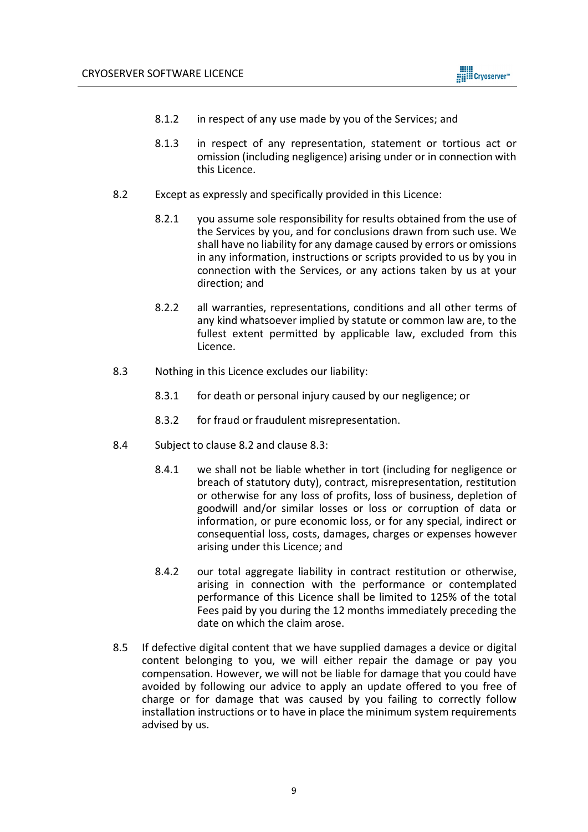

- 8.1.2 in respect of any use made by you of the Services; and
- 8.1.3 in respect of any representation, statement or tortious act or omission (including negligence) arising under or in connection with this Licence.
- 8.2 Except as expressly and specifically provided in this Licence:
	- 8.2.1 you assume sole responsibility for results obtained from the use of the Services by you, and for conclusions drawn from such use. We shall have no liability for any damage caused by errors or omissions in any information, instructions or scripts provided to us by you in connection with the Services, or any actions taken by us at your direction; and
	- 8.2.2 all warranties, representations, conditions and all other terms of any kind whatsoever implied by statute or common law are, to the fullest extent permitted by applicable law, excluded from this Licence.
- 8.3 Nothing in this Licence excludes our liability:
	- 8.3.1 for death or personal injury caused by our negligence; or
	- 8.3.2 for fraud or fraudulent misrepresentation.
- 8.4 Subject to clause 8.2 and clause 8.3:
	- 8.4.1 we shall not be liable whether in tort (including for negligence or breach of statutory duty), contract, misrepresentation, restitution or otherwise for any loss of profits, loss of business, depletion of goodwill and/or similar losses or loss or corruption of data or information, or pure economic loss, or for any special, indirect or consequential loss, costs, damages, charges or expenses however arising under this Licence; and
	- 8.4.2 our total aggregate liability in contract restitution or otherwise, arising in connection with the performance or contemplated performance of this Licence shall be limited to 125% of the total Fees paid by you during the 12 months immediately preceding the date on which the claim arose.
- 8.5 If defective digital content that we have supplied damages a device or digital content belonging to you, we will either repair the damage or pay you compensation. However, we will not be liable for damage that you could have avoided by following our advice to apply an update offered to you free of charge or for damage that was caused by you failing to correctly follow installation instructions or to have in place the minimum system requirements advised by us.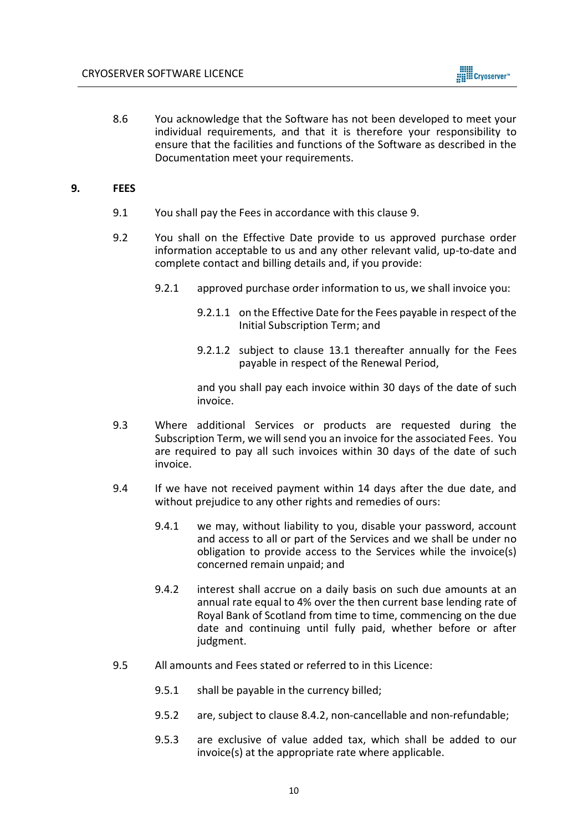

8.6 You acknowledge that the Software has not been developed to meet your individual requirements, and that it is therefore your responsibility to ensure that the facilities and functions of the Software as described in the Documentation meet your requirements.

### **9. FEES**

- 9.1 You shall pay the Fees in accordance with this clause 9.
- 9.2 You shall on the Effective Date provide to us approved purchase order information acceptable to us and any other relevant valid, up-to-date and complete contact and billing details and, if you provide:
	- 9.2.1 approved purchase order information to us, we shall invoice you:
		- 9.2.1.1 on the Effective Date for the Fees payable in respect of the Initial Subscription Term; and
		- 9.2.1.2 subject to clause 13.1 thereafter annually for the Fees payable in respect of the Renewal Period,

and you shall pay each invoice within 30 days of the date of such invoice.

- 9.3 Where additional Services or products are requested during the Subscription Term, we will send you an invoice for the associated Fees. You are required to pay all such invoices within 30 days of the date of such invoice.
- 9.4 If we have not received payment within 14 days after the due date, and without prejudice to any other rights and remedies of ours:
	- 9.4.1 we may, without liability to you, disable your password, account and access to all or part of the Services and we shall be under no obligation to provide access to the Services while the invoice(s) concerned remain unpaid; and
	- 9.4.2 interest shall accrue on a daily basis on such due amounts at an annual rate equal to 4% over the then current base lending rate of Royal Bank of Scotland from time to time, commencing on the due date and continuing until fully paid, whether before or after judgment.
- 9.5 All amounts and Fees stated or referred to in this Licence:
	- 9.5.1 shall be payable in the currency billed;
	- 9.5.2 are, subject to clause 8.4.2, non-cancellable and non-refundable;
	- 9.5.3 are exclusive of value added tax, which shall be added to our invoice(s) at the appropriate rate where applicable.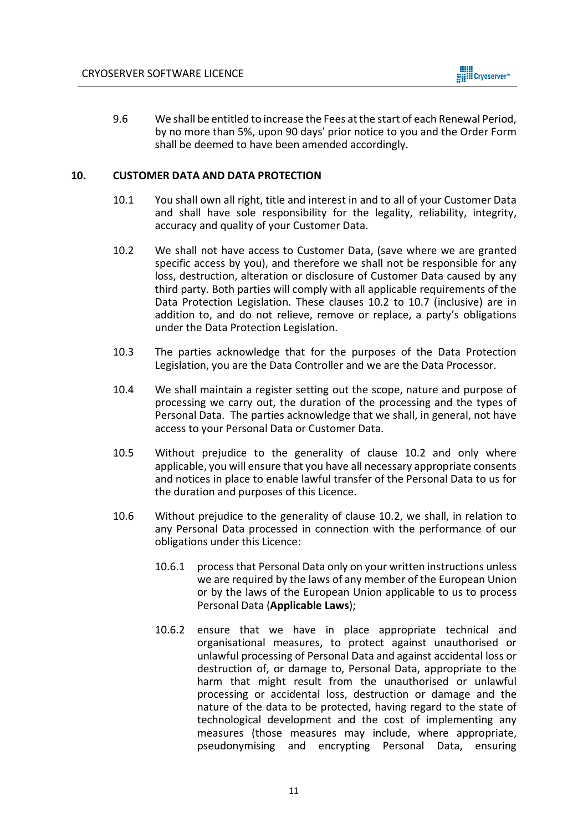

9.6 We shall be entitled to increase the Fees at the start of each Renewal Period, by no more than 5%, upon 90 days' prior notice to you and the Order Form shall be deemed to have been amended accordingly.

### **10. CUSTOMER DATA AND DATA PROTECTION**

- 10.1 You shall own all right, title and interest in and to all of your Customer Data and shall have sole responsibility for the legality, reliability, integrity, accuracy and quality of your Customer Data.
- 10.2 We shall not have access to Customer Data, (save where we are granted specific access by you), and therefore we shall not be responsible for any loss, destruction, alteration or disclosure of Customer Data caused by any third party. Both parties will comply with all applicable requirements of the Data Protection Legislation. These clauses 10.2 to 10.7 (inclusive) are in addition to, and do not relieve, remove or replace, a party's obligations under the Data Protection Legislation.
- 10.3 The parties acknowledge that for the purposes of the Data Protection Legislation, you are the Data Controller and we are the Data Processor.
- 10.4 We shall maintain a register setting out the scope, nature and purpose of processing we carry out, the duration of the processing and the types of Personal Data. The parties acknowledge that we shall, in general, not have access to your Personal Data or Customer Data.
- 10.5 Without prejudice to the generality of clause 10.2 and only where applicable, you will ensure that you have all necessary appropriate consents and notices in place to enable lawful transfer of the Personal Data to us for the duration and purposes of this Licence.
- 10.6 Without prejudice to the generality of clause 10.2, we shall, in relation to any Personal Data processed in connection with the performance of our obligations under this Licence:
	- 10.6.1 process that Personal Data only on your written instructions unless we are required by the laws of any member of the European Union or by the laws of the European Union applicable to us to process Personal Data (**Applicable Laws**);
	- 10.6.2 ensure that we have in place appropriate technical and organisational measures, to protect against unauthorised or unlawful processing of Personal Data and against accidental loss or destruction of, or damage to, Personal Data, appropriate to the harm that might result from the unauthorised or unlawful processing or accidental loss, destruction or damage and the nature of the data to be protected, having regard to the state of technological development and the cost of implementing any measures (those measures may include, where appropriate, pseudonymising and encrypting Personal Data, ensuring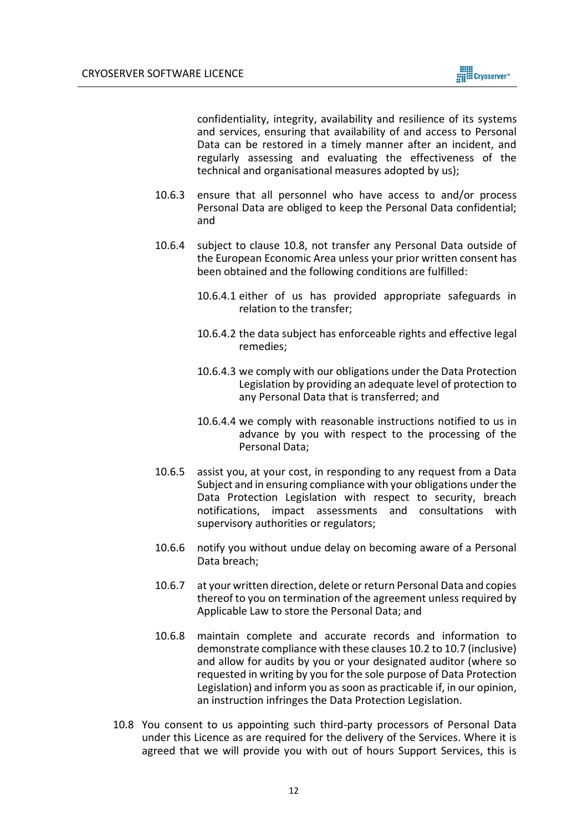

confidentiality, integrity, availability and resilience of its systems and services, ensuring that availability of and access to Personal Data can be restored in a timely manner after an incident, and regularly assessing and evaluating the effectiveness of the technical and organisational measures adopted by us);

- 10.6.3 ensure that all personnel who have access to and/or process Personal Data are obliged to keep the Personal Data confidential; and
- 10.6.4 subject to clause 10.8, not transfer any Personal Data outside of the European Economic Area unless your prior written consent has been obtained and the following conditions are fulfilled:
	- 10.6.4.1 either of us has provided appropriate safeguards in relation to the transfer;
	- 10.6.4.2 the data subject has enforceable rights and effective legal remedies;
	- 10.6.4.3 we comply with our obligations under the Data Protection Legislation by providing an adequate level of protection to any Personal Data that is transferred; and
	- 10.6.4.4 we comply with reasonable instructions notified to us in advance by you with respect to the processing of the Personal Data;
- 10.6.5 assist you, at your cost, in responding to any request from a Data Subject and in ensuring compliance with your obligations under the Data Protection Legislation with respect to security, breach notifications, impact assessments and consultations with supervisory authorities or regulators;
- 10.6.6 notify you without undue delay on becoming aware of a Personal Data breach;
- 10.6.7 at your written direction, delete or return Personal Data and copies thereof to you on termination of the agreement unless required by Applicable Law to store the Personal Data; and
- 10.6.8 maintain complete and accurate records and information to demonstrate compliance with these clauses 10.2 to 10.7 (inclusive) and allow for audits by you or your designated auditor (where so requested in writing by you for the sole purpose of Data Protection Legislation) and inform you as soon as practicable if, in our opinion, an instruction infringes the Data Protection Legislation.
- 10.8 You consent to us appointing such third-party processors of Personal Data under this Licence as are required for the delivery of the Services. Where it is agreed that we will provide you with out of hours Support Services, this is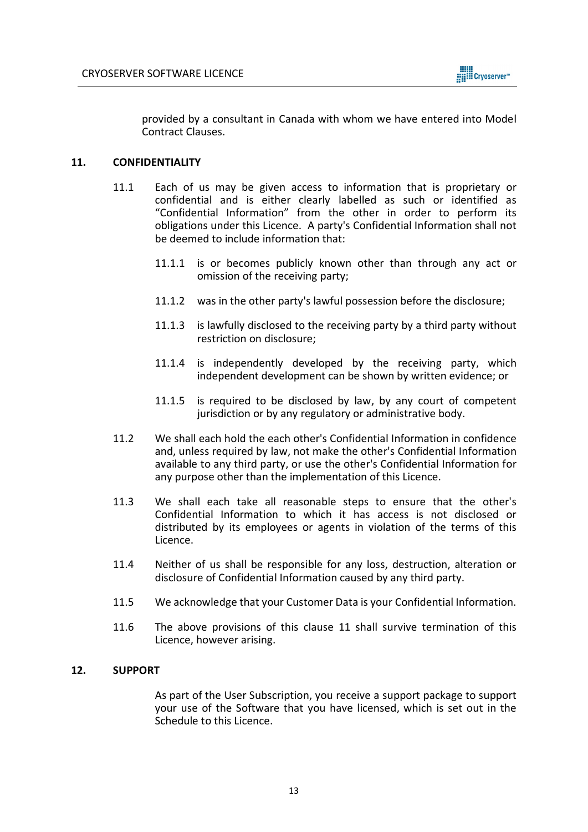

provided by a consultant in Canada with whom we have entered into Model Contract Clauses.

## **11. CONFIDENTIALITY**

- 11.1 Each of us may be given access to information that is proprietary or confidential and is either clearly labelled as such or identified as "Confidential Information" from the other in order to perform its obligations under this Licence. A party's Confidential Information shall not be deemed to include information that:
	- 11.1.1 is or becomes publicly known other than through any act or omission of the receiving party;
	- 11.1.2 was in the other party's lawful possession before the disclosure;
	- 11.1.3 is lawfully disclosed to the receiving party by a third party without restriction on disclosure;
	- 11.1.4 is independently developed by the receiving party, which independent development can be shown by written evidence; or
	- 11.1.5 is required to be disclosed by law, by any court of competent jurisdiction or by any regulatory or administrative body.
- 11.2 We shall each hold the each other's Confidential Information in confidence and, unless required by law, not make the other's Confidential Information available to any third party, or use the other's Confidential Information for any purpose other than the implementation of this Licence.
- 11.3 We shall each take all reasonable steps to ensure that the other's Confidential Information to which it has access is not disclosed or distributed by its employees or agents in violation of the terms of this Licence.
- 11.4 Neither of us shall be responsible for any loss, destruction, alteration or disclosure of Confidential Information caused by any third party.
- 11.5 We acknowledge that your Customer Data is your Confidential Information.
- 11.6 The above provisions of this clause 11 shall survive termination of this Licence, however arising.

## **12. SUPPORT**

As part of the User Subscription, you receive a support package to support your use of the Software that you have licensed, which is set out in the Schedule to this Licence.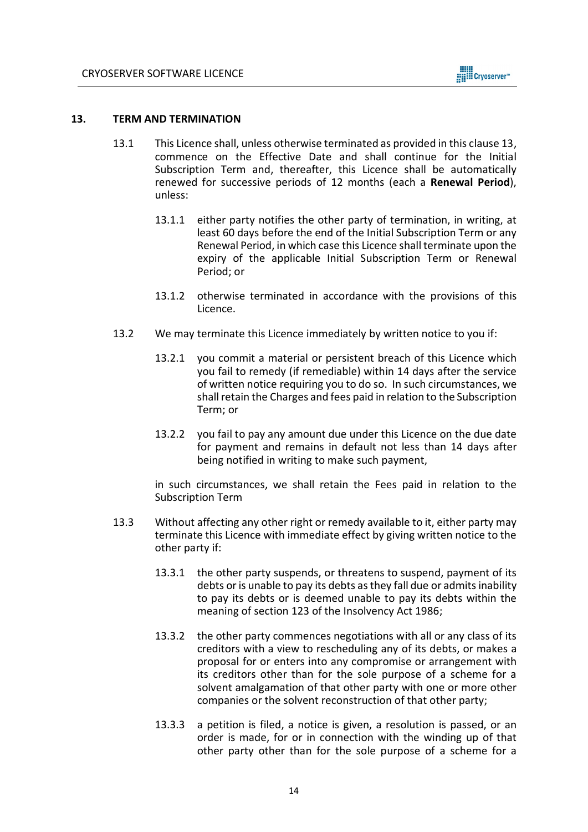

### <span id="page-13-0"></span>**13. TERM AND TERMINATION**

- 13.1 This Licence shall, unless otherwise terminated as provided in this clause 13, commence on the Effective Date and shall continue for the Initial Subscription Term and, thereafter, this Licence shall be automatically renewed for successive periods of 12 months (each a **Renewal Period**), unless:
	- 13.1.1 either party notifies the other party of termination, in writing, at least 60 days before the end of the Initial Subscription Term or any Renewal Period, in which case this Licence shall terminate upon the expiry of the applicable Initial Subscription Term or Renewal Period; or
	- 13.1.2 otherwise terminated in accordance with the provisions of this Licence.
- 13.2 We may terminate this Licence immediately by written notice to you if:
	- 13.2.1 you commit a material or persistent breach of this Licence which you fail to remedy (if remediable) within 14 days after the service of written notice requiring you to do so. In such circumstances, we shall retain the Charges and fees paid in relation to the Subscription Term; or
	- 13.2.2 you fail to pay any amount due under this Licence on the due date for payment and remains in default not less than 14 days after being notified in writing to make such payment,

in such circumstances, we shall retain the Fees paid in relation to the Subscription Term

- 13.3 Without affecting any other right or remedy available to it, either party may terminate this Licence with immediate effect by giving written notice to the other party if:
	- 13.3.1 the other party suspends, or threatens to suspend, payment of its debts or is unable to pay its debts as they fall due or admits inability to pay its debts or is deemed unable to pay its debts within the meaning of section 123 of the Insolvency Act 1986;
	- 13.3.2 the other party commences negotiations with all or any class of its creditors with a view to rescheduling any of its debts, or makes a proposal for or enters into any compromise or arrangement with its creditors other than for the sole purpose of a scheme for a solvent amalgamation of that other party with one or more other companies or the solvent reconstruction of that other party;
	- 13.3.3 a petition is filed, a notice is given, a resolution is passed, or an order is made, for or in connection with the winding up of that other party other than for the sole purpose of a scheme for a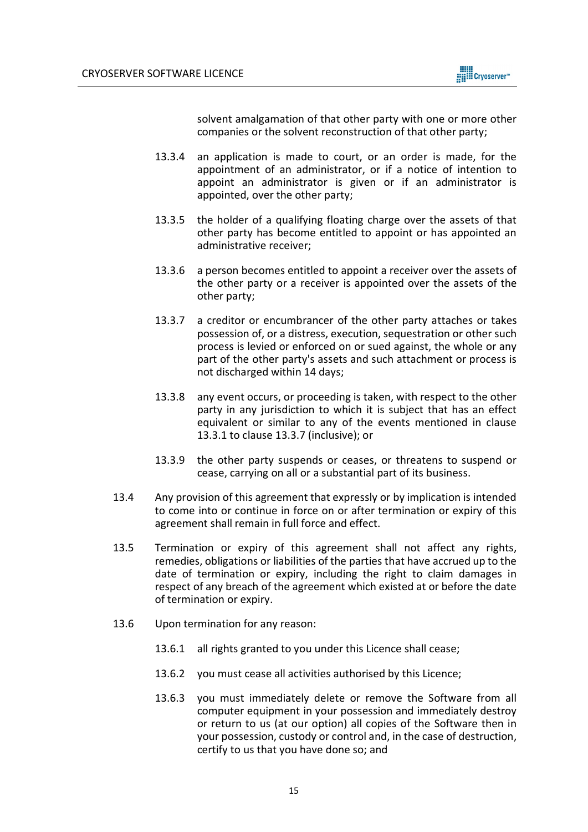

solvent amalgamation of that other party with one or more other companies or the solvent reconstruction of that other party;

- 13.3.4 an application is made to court, or an order is made, for the appointment of an administrator, or if a notice of intention to appoint an administrator is given or if an administrator is appointed, over the other party;
- 13.3.5 the holder of a qualifying floating charge over the assets of that other party has become entitled to appoint or has appointed an administrative receiver;
- 13.3.6 a person becomes entitled to appoint a receiver over the assets of the other party or a receiver is appointed over the assets of the other party;
- 13.3.7 a creditor or encumbrancer of the other party attaches or takes possession of, or a distress, execution, sequestration or other such process is levied or enforced on or sued against, the whole or any part of the other party's assets and such attachment or process is not discharged within 14 days;
- 13.3.8 any event occurs, or proceeding is taken, with respect to the other party in any jurisdiction to which it is subject that has an effect equivalent or similar to any of the events mentioned in clause 13.3.1 to clause 13.3.7 (inclusive); or
- 13.3.9 the other party suspends or ceases, or threatens to suspend or cease, carrying on all or a substantial part of its business.
- 13.4 Any provision of this agreement that expressly or by implication is intended to come into or continue in force on or after termination or expiry of this agreement shall remain in full force and effect.
- 13.5 Termination or expiry of this agreement shall not affect any rights, remedies, obligations or liabilities of the parties that have accrued up to the date of termination or expiry, including the right to claim damages in respect of any breach of the agreement which existed at or before the date of termination or expiry.
- 13.6 Upon termination for any reason:
	- 13.6.1 all rights granted to you under this Licence shall cease;
	- 13.6.2 you must cease all activities authorised by this Licence;
	- 13.6.3 you must immediately delete or remove the Software from all computer equipment in your possession and immediately destroy or return to us (at our option) all copies of the Software then in your possession, custody or control and, in the case of destruction, certify to us that you have done so; and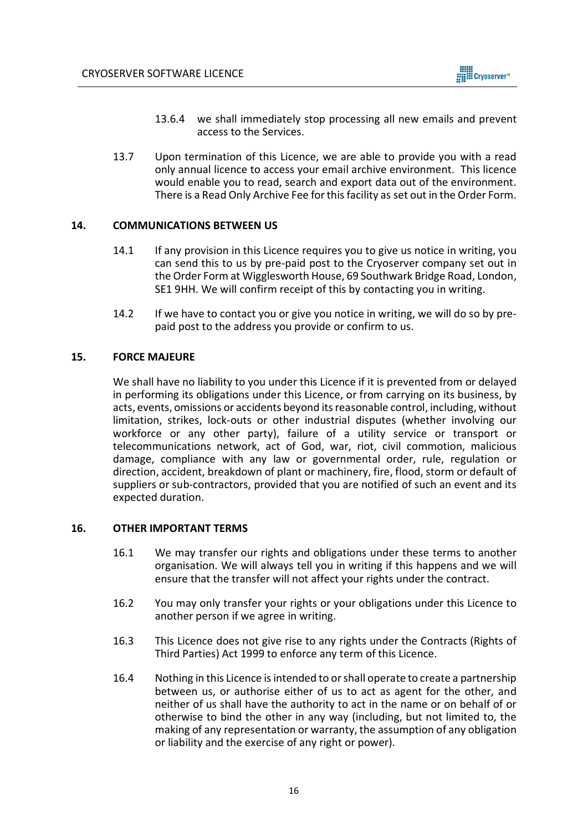

- 13.6.4 we shall immediately stop processing all new emails and prevent access to the Services.
- 13.7 Upon termination of this Licence, we are able to provide you with a read only annual licence to access your email archive environment. This licence would enable you to read, search and export data out of the environment. There is a Read Only Archive Fee for this facility as set out in the Order Form.

## **14. COMMUNICATIONS BETWEEN US**

- 14.1 If any provision in this Licence requires you to give us notice in writing, you can send this to us by pre-paid post to the Cryoserver company set out in the Order Form at Wigglesworth House, 69 Southwark Bridge Road, London, SE1 9HH. We will confirm receipt of this by contacting you in writing.
- 14.2 If we have to contact you or give you notice in writing, we will do so by prepaid post to the address you provide or confirm to us.

### **15. FORCE MAJEURE**

We shall have no liability to you under this Licence if it is prevented from or delayed in performing its obligations under this Licence, or from carrying on its business, by acts, events, omissions or accidents beyond its reasonable control, including, without limitation, strikes, lock-outs or other industrial disputes (whether involving our workforce or any other party), failure of a utility service or transport or telecommunications network, act of God, war, riot, civil commotion, malicious damage, compliance with any law or governmental order, rule, regulation or direction, accident, breakdown of plant or machinery, fire, flood, storm or default of suppliers or sub-contractors, provided that you are notified of such an event and its expected duration.

### **16. OTHER IMPORTANT TERMS**

- 16.1 We may transfer our rights and obligations under these terms to another organisation. We will always tell you in writing if this happens and we will ensure that the transfer will not affect your rights under the contract.
- 16.2 You may only transfer your rights or your obligations under this Licence to another person if we agree in writing.
- 16.3 This Licence does not give rise to any rights under the Contracts (Rights of Third Parties) Act 1999 to enforce any term of this Licence.
- 16.4 Nothing in this Licence is intended to or shall operate to create a partnership between us, or authorise either of us to act as agent for the other, and neither of us shall have the authority to act in the name or on behalf of or otherwise to bind the other in any way (including, but not limited to, the making of any representation or warranty, the assumption of any obligation or liability and the exercise of any right or power).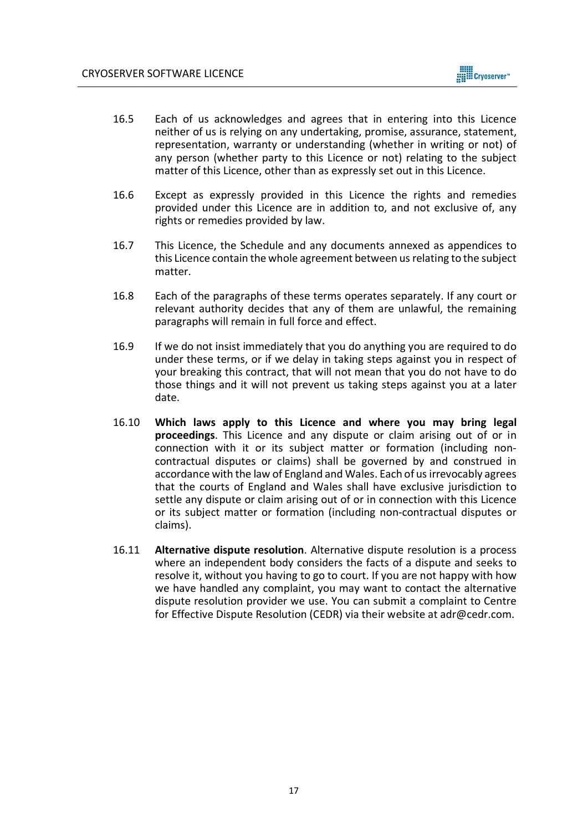- 16.5 Each of us acknowledges and agrees that in entering into this Licence neither of us is relying on any undertaking, promise, assurance, statement, representation, warranty or understanding (whether in writing or not) of any person (whether party to this Licence or not) relating to the subject matter of this Licence, other than as expressly set out in this Licence.
- 16.6 Except as expressly provided in this Licence the rights and remedies provided under this Licence are in addition to, and not exclusive of, any rights or remedies provided by law.
- 16.7 This Licence, the Schedule and any documents annexed as appendices to this Licence contain the whole agreement between us relating to the subject matter.
- 16.8 Each of the paragraphs of these terms operates separately. If any court or relevant authority decides that any of them are unlawful, the remaining paragraphs will remain in full force and effect.
- 16.9 If we do not insist immediately that you do anything you are required to do under these terms, or if we delay in taking steps against you in respect of your breaking this contract, that will not mean that you do not have to do those things and it will not prevent us taking steps against you at a later date.
- 16.10 **Which laws apply to this Licence and where you may bring legal proceedings**. This Licence and any dispute or claim arising out of or in connection with it or its subject matter or formation (including noncontractual disputes or claims) shall be governed by and construed in accordance with the law of England and Wales. Each of us irrevocably agrees that the courts of England and Wales shall have exclusive jurisdiction to settle any dispute or claim arising out of or in connection with this Licence or its subject matter or formation (including non-contractual disputes or claims).
- 16.11 **Alternative dispute resolution**. Alternative dispute resolution is a process where an independent body considers the facts of a dispute and seeks to resolve it, without you having to go to court. If you are not happy with how we have handled any complaint, you may want to contact the alternative dispute resolution provider we use. You can submit a complaint to Centre for Effective Dispute Resolution (CEDR) via their website at adr@cedr.com.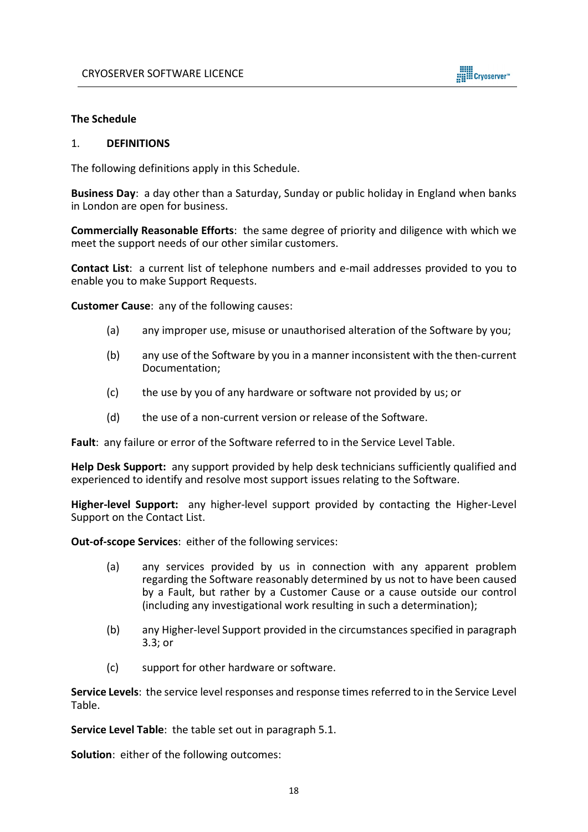

### **The Schedule**

#### 1. **DEFINITIONS**

The following definitions apply in this Schedule.

**Business Day**: a day other than a Saturday, Sunday or public holiday in England when banks in London are open for business.

**Commercially Reasonable Efforts**: the same degree of priority and diligence with which we meet the support needs of our other similar customers.

**Contact List**: a current list of telephone numbers and e-mail addresses provided to you to enable you to make Support Requests.

**Customer Cause**: any of the following causes:

- (a) any improper use, misuse or unauthorised alteration of the Software by you;
- (b) any use of the Software by you in a manner inconsistent with the then-current Documentation;
- (c) the use by you of any hardware or software not provided by us; or
- (d) the use of a non-current version or release of the Software.

**Fault**: any failure or error of the Software referred to in the Service Level Table.

**Help Desk Support:** any support provided by help desk technicians sufficiently qualified and experienced to identify and resolve most support issues relating to the Software.

**Higher-level Support:** any higher-level support provided by contacting the Higher-Level Support on the Contact List.

**Out-of-scope Services**: either of the following services:

- (a) any services provided by us in connection with any apparent problem regarding the Software reasonably determined by us not to have been caused by a Fault, but rather by a Customer Cause or a cause outside our control (including any investigational work resulting in such a determination);
- (b) any Higher-level Support provided in the circumstances specified in paragraph 3.3; or
- (c) support for other hardware or software.

**Service Levels**: the service level responses and response times referred to in the Service Level Table.

**Service Level Table**: the table set out in paragraph 5.1.

**Solution**: either of the following outcomes: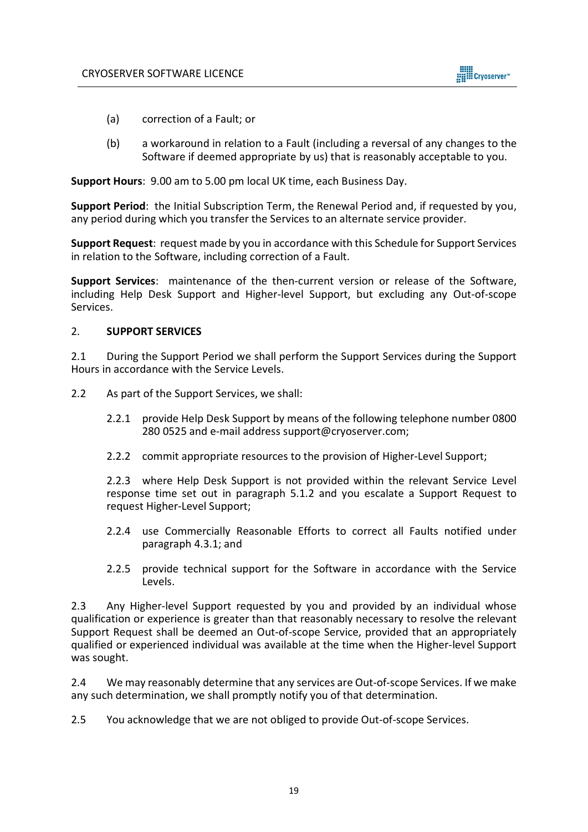

- (a) correction of a Fault; or
- (b) a workaround in relation to a Fault (including a reversal of any changes to the Software if deemed appropriate by us) that is reasonably acceptable to you.

**Support Hours**: 9.00 am to 5.00 pm local UK time, each Business Day.

**Support Period**: the Initial Subscription Term, the Renewal Period and, if requested by you, any period during which you transfer the Services to an alternate service provider.

**Support Request**: request made by you in accordance with this Schedule for Support Services in relation to the Software, including correction of a Fault.

**Support Services**: maintenance of the then-current version or release of the Software, including Help Desk Support and Higher-level Support, but excluding any Out-of-scope Services.

## 2. **SUPPORT SERVICES**

2.1 During the Support Period we shall perform the Support Services during the Support Hours in accordance with the Service Levels.

- 2.2 As part of the Support Services, we shall:
	- 2.2.1 provide Help Desk Support by means of the following telephone number 0800 280 0525 and e-mail address support@cryoserver.com;
	- 2.2.2 commit appropriate resources to the provision of Higher-Level Support;

2.2.3 where Help Desk Support is not provided within the relevant Service Level response time set out in paragraph 5.1.2 and you escalate a Support Request to request Higher-Level Support;

- 2.2.4 use Commercially Reasonable Efforts to correct all Faults notified under paragraph 4.3.1; and
- 2.2.5 provide technical support for the Software in accordance with the Service Levels.

2.3 Any Higher-level Support requested by you and provided by an individual whose qualification or experience is greater than that reasonably necessary to resolve the relevant Support Request shall be deemed an Out-of-scope Service, provided that an appropriately qualified or experienced individual was available at the time when the Higher-level Support was sought.

2.4 We may reasonably determine that any services are Out-of-scope Services. If we make any such determination, we shall promptly notify you of that determination.

2.5 You acknowledge that we are not obliged to provide Out-of-scope Services.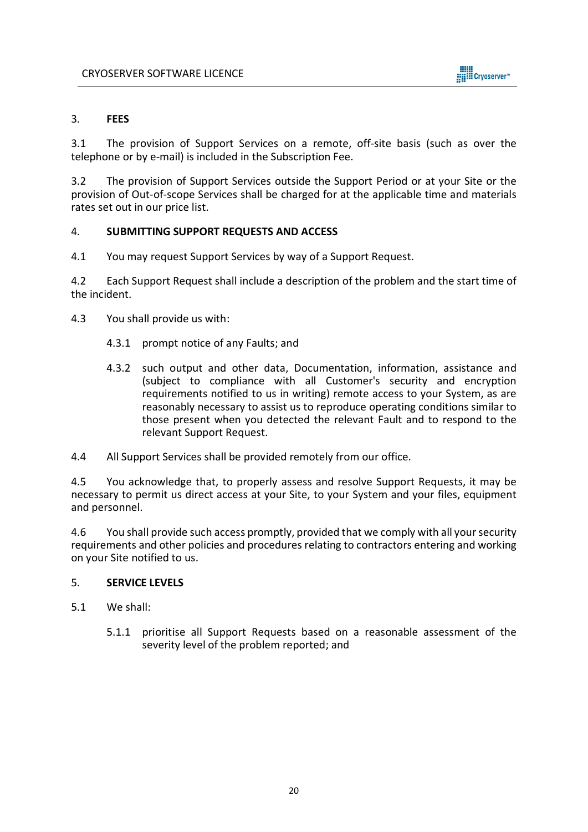

## 3. **FEES**

3.1 The provision of Support Services on a remote, off-site basis (such as over the telephone or by e-mail) is included in the Subscription Fee.

3.2 The provision of Support Services outside the Support Period or at your Site or the provision of Out-of-scope Services shall be charged for at the applicable time and materials rates set out in our price list.

## 4. **SUBMITTING SUPPORT REQUESTS AND ACCESS**

4.1 You may request Support Services by way of a Support Request.

4.2 Each Support Request shall include a description of the problem and the start time of the incident.

- 4.3 You shall provide us with:
	- 4.3.1 prompt notice of any Faults; and
	- 4.3.2 such output and other data, Documentation, information, assistance and (subject to compliance with all Customer's security and encryption requirements notified to us in writing) remote access to your System, as are reasonably necessary to assist us to reproduce operating conditions similar to those present when you detected the relevant Fault and to respond to the relevant Support Request.
- 4.4 All Support Services shall be provided remotely from our office.

4.5 You acknowledge that, to properly assess and resolve Support Requests, it may be necessary to permit us direct access at your Site, to your System and your files, equipment and personnel.

4.6 You shall provide such access promptly, provided that we comply with all your security requirements and other policies and procedures relating to contractors entering and working on your Site notified to us.

# 5. **SERVICE LEVELS**

- 5.1 We shall:
	- 5.1.1 prioritise all Support Requests based on a reasonable assessment of the severity level of the problem reported; and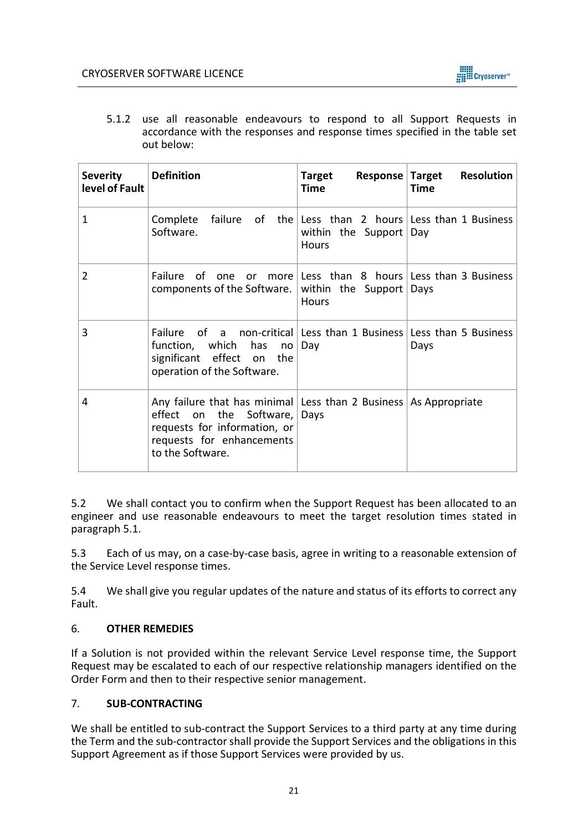

5.1.2 use all reasonable endeavours to respond to all Support Requests in accordance with the responses and response times specified in the table set out below:

| <b>Severity</b><br>level of Fault | <b>Definition</b>                                                                                                                                                                   | Target<br>Time                                                                                  | Response Target Resolution<br><b>Time</b> |
|-----------------------------------|-------------------------------------------------------------------------------------------------------------------------------------------------------------------------------------|-------------------------------------------------------------------------------------------------|-------------------------------------------|
| $\mathbf{1}$                      | Complete<br>Software.                                                                                                                                                               | failure of the Less than 2 hours Less than 1 Business<br>within the Support Day<br><b>Hours</b> |                                           |
| $\overline{2}$                    | Failure of one or more Less than 8 hours Less than 3 Business<br>components of the Software. within the Support Days                                                                | <b>Hours</b>                                                                                    |                                           |
| 3                                 | Failure of a non-critical Less than 1 Business Less than 5 Business<br>function, which has no $Day$<br>significant effect on the<br>operation of the Software.                      |                                                                                                 | Days                                      |
| 4                                 | Any failure that has minimal Less than 2 Business   As Appropriate<br>effect on the Software, Days<br>requests for information, or<br>requests for enhancements<br>to the Software. |                                                                                                 |                                           |

5.2 We shall contact you to confirm when the Support Request has been allocated to an engineer and use reasonable endeavours to meet the target resolution times stated in paragraph 5.1.

5.3 Each of us may, on a case-by-case basis, agree in writing to a reasonable extension of the Service Level response times.

5.4 We shall give you regular updates of the nature and status of its efforts to correct any Fault.

## 6. **OTHER REMEDIES**

If a Solution is not provided within the relevant Service Level response time, the Support Request may be escalated to each of our respective relationship managers identified on the Order Form and then to their respective senior management.

## 7. **SUB-CONTRACTING**

We shall be entitled to sub-contract the Support Services to a third party at any time during the Term and the sub-contractor shall provide the Support Services and the obligations in this Support Agreement as if those Support Services were provided by us.